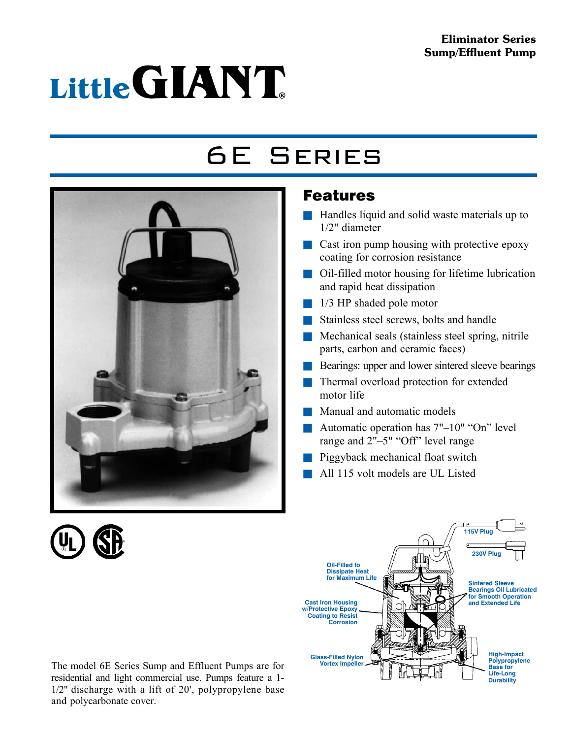#### Eliminator Series Sump/Effluent Pump

# Little GIANT

## 6E Series



### Features

- $\blacksquare$  Handles liquid and solid waste materials up to 1/2" diameter
- $\blacksquare$  Cast iron pump housing with protective epoxy coating for corrosion resistance
- $\Box$  Oil-filled motor housing for lifetime lubrication and rapid heat dissipation
- $\blacksquare$  1/3 HP shaded pole motor
- Stainless steel screws, bolts and handle
- $\blacksquare$  Mechanical seals (stainless steel spring, nitrile parts, carbon and ceramic faces)
- **n** Bearings: upper and lower sintered sleeve bearings
- Thermal overload protection for extended motor life
- Manual and automatic models
- Automatic operation has  $7"$ -10" "On" level range and 2"–5" "Off" level range
- Piggyback mechanical float switch
- All 115 volt models are UL Listed



The model 6E Series Sump and Effluent Pumps are for residential and light commercial use. Pumps feature a 1- 1/2" discharge with a lift of 20', polypropylene base and polycarbonate cover.